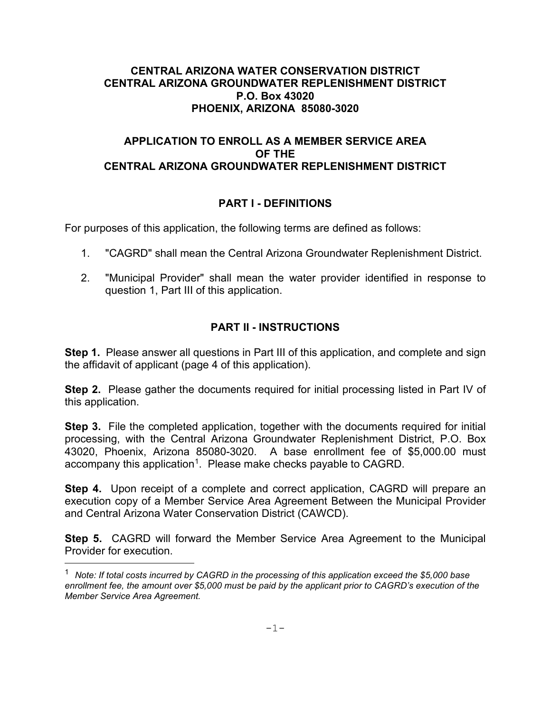#### **CENTRAL ARIZONA WATER CONSERVATION DISTRICT CENTRAL ARIZONA GROUNDWATER REPLENISHMENT DISTRICT P.O. Box 43020 PHOENIX, ARIZONA 85080-3020**

## **APPLICATION TO ENROLL AS A MEMBER SERVICE AREA OF THE CENTRAL ARIZONA GROUNDWATER REPLENISHMENT DISTRICT**

## **PART I - DEFINITIONS**

For purposes of this application, the following terms are defined as follows:

- 1. "CAGRD" shall mean the Central Arizona Groundwater Replenishment District.
- 2. "Municipal Provider" shall mean the water provider identified in response to question 1, Part III of this application.

#### **PART II - INSTRUCTIONS**

**Step 1.** Please answer all questions in Part III of this application, and complete and sign the affidavit of applicant (page 4 of this application).

**Step 2.** Please gather the documents required for initial processing listed in Part IV of this application.

**Step 3.** File the completed application, together with the documents required for initial processing, with the Central Arizona Groundwater Replenishment District, P.O. Box 43020, Phoenix, Arizona 85080-3020. A base enrollment fee of \$5,000.00 must accompany this application<sup>[1](#page-0-0)</sup>. Please make checks payable to CAGRD.

**Step 4.** Upon receipt of a complete and correct application, CAGRD will prepare an execution copy of a Member Service Area Agreement Between the Municipal Provider and Central Arizona Water Conservation District (CAWCD).

**Step 5.** CAGRD will forward the Member Service Area Agreement to the Municipal Provider for execution.

<span id="page-0-0"></span><sup>1</sup> *Note: If total costs incurred by CAGRD in the processing of this application exceed the \$5,000 base enrollment fee, the amount over \$5,000 must be paid by the applicant prior to CAGRD's execution of the Member Service Area Agreement.*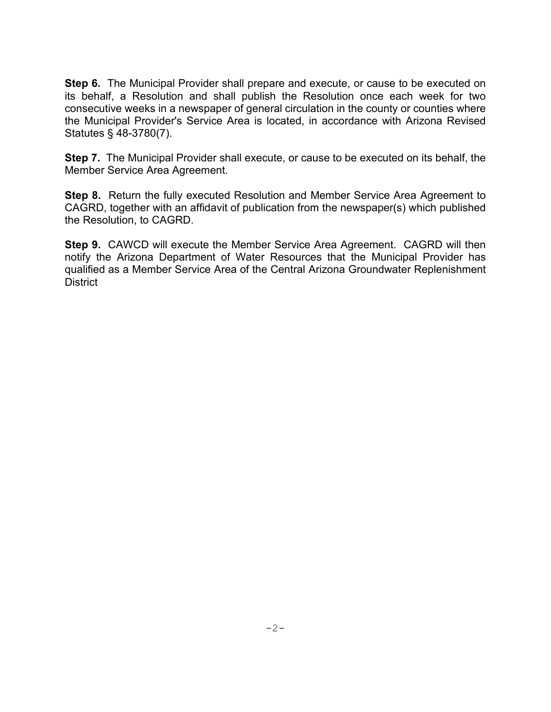**Step 6.** The Municipal Provider shall prepare and execute, or cause to be executed on its behalf, a Resolution and shall publish the Resolution once each week for two consecutive weeks in a newspaper of general circulation in the county or counties where the Municipal Provider's Service Area is located, in accordance with Arizona Revised Statutes § 48-3780(7).

**Step 7.** The Municipal Provider shall execute, or cause to be executed on its behalf, the Member Service Area Agreement.

**Step 8.** Return the fully executed Resolution and Member Service Area Agreement to CAGRD, together with an affidavit of publication from the newspaper(s) which published the Resolution, to CAGRD.

**Step 9.** CAWCD will execute the Member Service Area Agreement. CAGRD will then notify the Arizona Department of Water Resources that the Municipal Provider has qualified as a Member Service Area of the Central Arizona Groundwater Replenishment **District**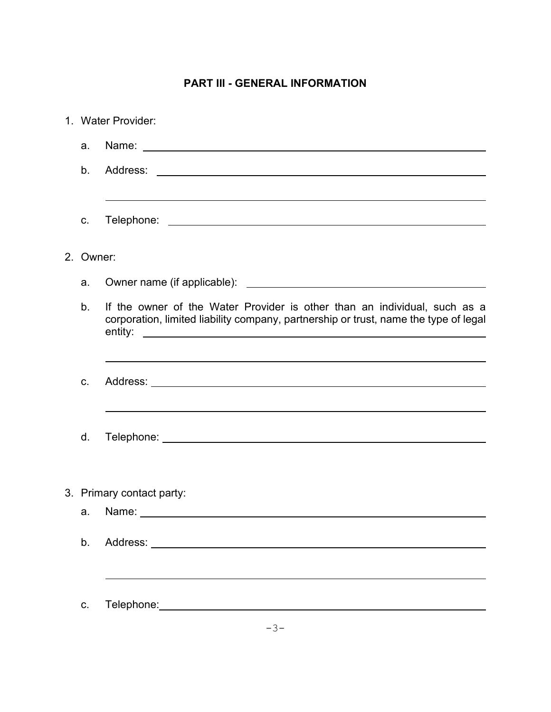# **PART III - GENERAL INFORMATION**

|                           | 1. Water Provider:                                                                                                                                                |  |  |  |
|---------------------------|-------------------------------------------------------------------------------------------------------------------------------------------------------------------|--|--|--|
| a.                        |                                                                                                                                                                   |  |  |  |
| b.                        |                                                                                                                                                                   |  |  |  |
| C.                        | ,我们也不会有什么。""我们的人,我们也不会有什么?""我们的人,我们也不会有什么?""我们的人,我们也不会有什么?""我们的人,我们也不会有什么?""我们的人                                                                                  |  |  |  |
| 2. Owner:                 |                                                                                                                                                                   |  |  |  |
| a.                        |                                                                                                                                                                   |  |  |  |
| b.                        | If the owner of the Water Provider is other than an individual, such as a<br>corporation, limited liability company, partnership or trust, name the type of legal |  |  |  |
| C.                        |                                                                                                                                                                   |  |  |  |
| d.                        |                                                                                                                                                                   |  |  |  |
| 3. Primary contact party: |                                                                                                                                                                   |  |  |  |
|                           |                                                                                                                                                                   |  |  |  |
| b.                        |                                                                                                                                                                   |  |  |  |
|                           |                                                                                                                                                                   |  |  |  |
| C.                        |                                                                                                                                                                   |  |  |  |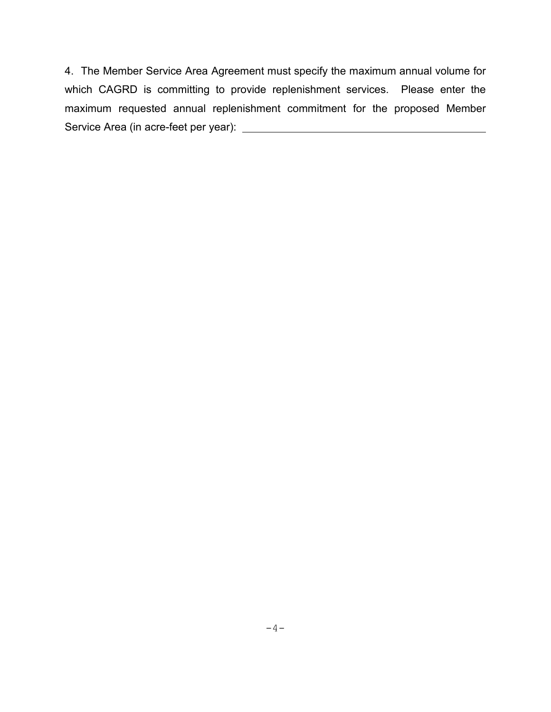4. The Member Service Area Agreement must specify the maximum annual volume for which CAGRD is committing to provide replenishment services. Please enter the maximum requested annual replenishment commitment for the proposed Member Service Area (in acre-feet per year):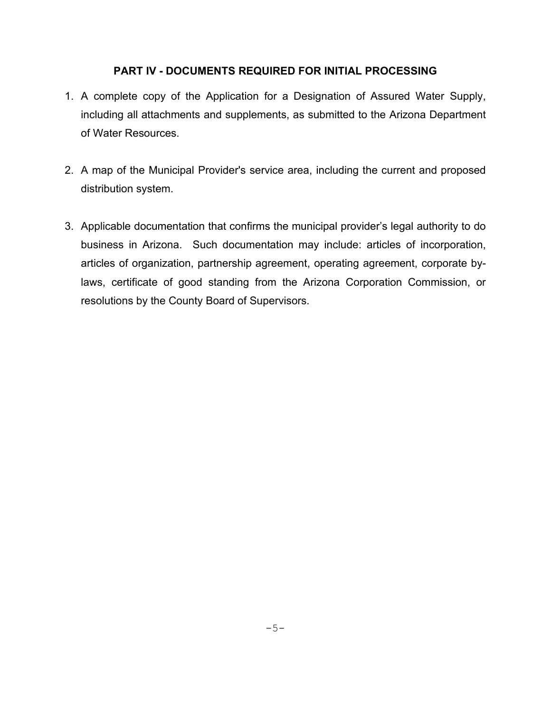## **PART IV - DOCUMENTS REQUIRED FOR INITIAL PROCESSING**

- 1. A complete copy of the Application for a Designation of Assured Water Supply, including all attachments and supplements, as submitted to the Arizona Department of Water Resources.
- 2. A map of the Municipal Provider's service area, including the current and proposed distribution system.
- 3. Applicable documentation that confirms the municipal provider's legal authority to do business in Arizona. Such documentation may include: articles of incorporation, articles of organization, partnership agreement, operating agreement, corporate bylaws, certificate of good standing from the Arizona Corporation Commission, or resolutions by the County Board of Supervisors.